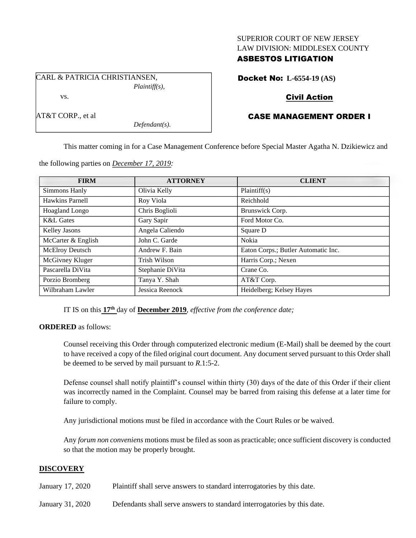#### SUPERIOR COURT OF NEW JERSEY LAW DIVISION: MIDDLESEX COUNTY

## ASBESTOS LITIGATION

CARL & PATRICIA CHRISTIANSEN, *Plaintiff(s),* vs.

AT&T CORP., et al

Docket No: **L-6554-19 (AS)**

## Civil Action

# CASE MANAGEMENT ORDER I

This matter coming in for a Case Management Conference before Special Master Agatha N. Dzikiewicz and

the following parties on *December 17, 2019:*

*Defendant(s).*

| <b>FIRM</b>          | <b>ATTORNEY</b>  | <b>CLIENT</b>                       |
|----------------------|------------------|-------------------------------------|
| Simmons Hanly        | Olivia Kelly     | Plaintiff(s)                        |
| Hawkins Parnell      | Roy Viola        | Reichhold                           |
| Hoagland Longo       | Chris Boglioli   | Brunswick Corp.                     |
| <b>K&amp;L</b> Gates | Gary Sapir       | Ford Motor Co.                      |
| Kelley Jasons        | Angela Caliendo  | Square D                            |
| McCarter & English   | John C. Garde    | Nokia                               |
| McElroy Deutsch      | Andrew F. Bain   | Eaton Corps.; Butler Automatic Inc. |
| McGivney Kluger      | Trish Wilson     | Harris Corp.; Nexen                 |
| Pascarella DiVita    | Stephanie DiVita | Crane Co.                           |
| Porzio Bromberg      | Tanya Y. Shah    | AT&T Corp.                          |
| Wilbraham Lawler     | Jessica Reenock  | Heidelberg; Kelsey Hayes            |

IT IS on this **17th** day of **December 2019**, *effective from the conference date;*

**ORDERED** as follows:

Counsel receiving this Order through computerized electronic medium (E-Mail) shall be deemed by the court to have received a copy of the filed original court document. Any document served pursuant to this Order shall be deemed to be served by mail pursuant to *R*.1:5-2.

Defense counsel shall notify plaintiff's counsel within thirty (30) days of the date of this Order if their client was incorrectly named in the Complaint. Counsel may be barred from raising this defense at a later time for failure to comply.

Any jurisdictional motions must be filed in accordance with the Court Rules or be waived.

Any *forum non conveniens* motions must be filed as soon as practicable; once sufficient discovery is conducted so that the motion may be properly brought.

## **DISCOVERY**

January 17, 2020 Plaintiff shall serve answers to standard interrogatories by this date.

January 31, 2020 Defendants shall serve answers to standard interrogatories by this date.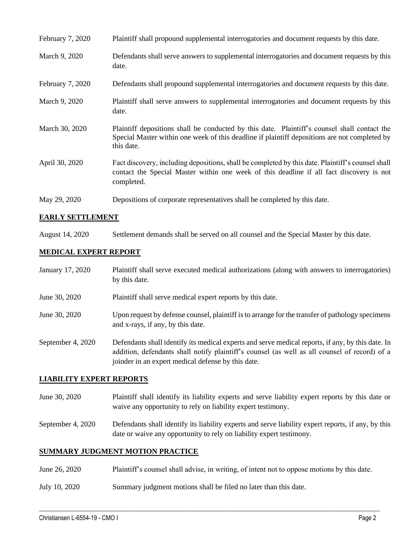| February 7, 2020 | Plaintiff shall propound supplemental interrogatories and document requests by this date.                                                                                                                   |
|------------------|-------------------------------------------------------------------------------------------------------------------------------------------------------------------------------------------------------------|
| March 9, 2020    | Defendants shall serve answers to supplemental interrogatories and document requests by this<br>date.                                                                                                       |
| February 7, 2020 | Defendants shall propound supplemental interrogatories and document requests by this date.                                                                                                                  |
| March 9, 2020    | Plaintiff shall serve answers to supplemental interrogatories and document requests by this<br>date.                                                                                                        |
| March 30, 2020   | Plaintiff depositions shall be conducted by this date. Plaintiff's counsel shall contact the<br>Special Master within one week of this deadline if plaintiff depositions are not completed by<br>this date. |
| April 30, 2020   | Fact discovery, including depositions, shall be completed by this date. Plaintiff's counsel shall<br>contact the Special Master within one week of this deadline if all fact discovery is not<br>completed. |
| May 29, 2020     | Depositions of corporate representatives shall be completed by this date.                                                                                                                                   |

## **EARLY SETTLEMENT**

August 14, 2020 Settlement demands shall be served on all counsel and the Special Master by this date.

## **MEDICAL EXPERT REPORT**

| January 17, 2020  | Plaintiff shall serve executed medical authorizations (along with answers to interrogatories)<br>by this date.                                                                                                                                           |
|-------------------|----------------------------------------------------------------------------------------------------------------------------------------------------------------------------------------------------------------------------------------------------------|
| June 30, 2020     | Plaintiff shall serve medical expert reports by this date.                                                                                                                                                                                               |
| June 30, 2020     | Upon request by defense counsel, plaintiff is to arrange for the transfer of pathology specimens<br>and x-rays, if any, by this date.                                                                                                                    |
| September 4, 2020 | Defendants shall identify its medical experts and serve medical reports, if any, by this date. In<br>addition, defendants shall notify plaintiff's counsel (as well as all counsel of record) of a<br>joinder in an expert medical defense by this date. |

#### **LIABILITY EXPERT REPORTS**

- June 30, 2020 Plaintiff shall identify its liability experts and serve liability expert reports by this date or waive any opportunity to rely on liability expert testimony.
- September 4, 2020 Defendants shall identify its liability experts and serve liability expert reports, if any, by this date or waive any opportunity to rely on liability expert testimony.

## **SUMMARY JUDGMENT MOTION PRACTICE**

June 26, 2020 Plaintiff's counsel shall advise, in writing, of intent not to oppose motions by this date.

 $\_$  , and the set of the set of the set of the set of the set of the set of the set of the set of the set of the set of the set of the set of the set of the set of the set of the set of the set of the set of the set of th

July 10, 2020 Summary judgment motions shall be filed no later than this date.